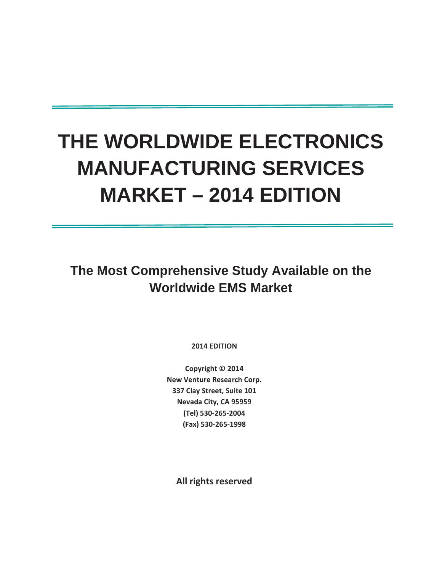# **THE WORLDWIDE ELECTRONICS MANUFACTURING SERVICES MARKET – 2014 EDITION**

**The Most Comprehensive Study Available on the Worldwide EMS Market** 

**2014 EDITION**

**Copyright © 2014 New Venture Research Corp. 337 Clay Street, Suite 101 Nevada City, CA 95959 (Tel) 530Ͳ265Ͳ2004**  $(Fax)$  530-265-1998

**All rights reserved**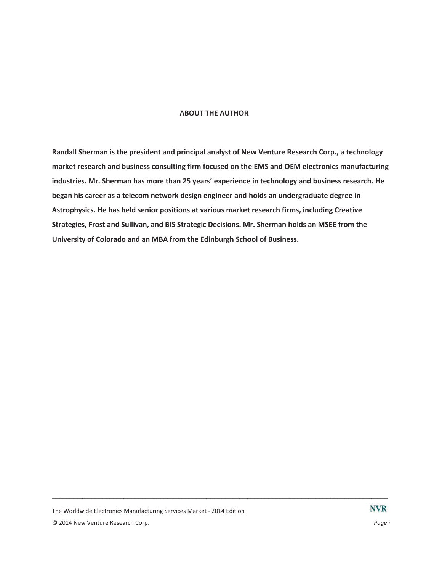### **ABOUT THE AUTHOR**

Randall Sherman is the president and principal analyst of New Venture Research Corp., a technology market research and business consulting firm focused on the EMS and OEM electronics manufacturing industries. Mr. Sherman has more than 25 years' experience in technology and business research. He began his career as a telecom network design engineer and holds an undergraduate degree in Astrophysics. He has held senior positions at various market research firms, including Creative Strategies, Frost and Sullivan, and BIS Strategic Decisions. Mr. Sherman holds an MSEE from the University of Colorado and an MBA from the Edinburgh School of Business.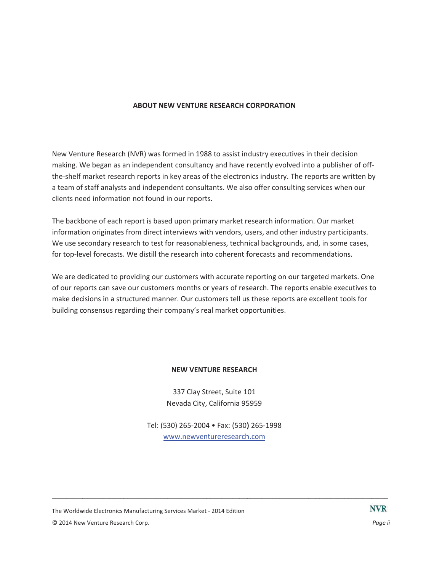# **ABOUT NEW VENTURE RESEARCH CORPORATION**

New Venture Research (NVR) was formed in 1988 to assist industry executives in their decision making. We began as an independent consultancy and have recently evolved into a publisher of offthe-shelf market research reports in key areas of the electronics industry. The reports are written by a team of staff analysts and independent consultants. We also offer consulting services when our clients need information not found in our reports.

The backbone of each report is based upon primary market research information. Our market information originates from direct interviews with vendors, users, and other industry participants. We use secondary research to test for reasonableness, technical backgrounds, and, in some cases, for top-level forecasts. We distill the research into coherent forecasts and recommendations.

We are dedicated to providing our customers with accurate reporting on our targeted markets. One of our reports can save our customers months or years of research. The reports enable executives to make decisions in a structured manner. Our customers tell us these reports are excellent tools for building consensus regarding their company's real market opportunities.

## **NEW VENTURE RESEARCH**

337 Clay Street, Suite 101 Nevada City, California 95959

Tel: (530) 265-2004 • Fax: (530) 265-1998 www.newventureresearch.com

The Worldwide Electronics Manufacturing Services Market - 2014 Edition © 2014 New Venture Research Corp.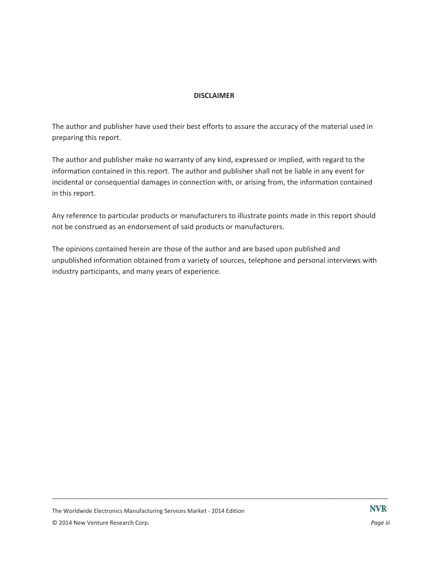# **DISCLAIMER**

The author and publisher have used their best efforts to assure the accuracy of the material used in preparing this report.

The author and publisher make no warranty of any kind, expressed or implied, with regard to the information contained in this report. The author and publisher shall not be liable in any event for incidental or consequential damages in connection with, or arising from, the information contained in this report.

Any reference to particular products or manufacturers to illustrate points made in this report should not be construed as an endorsement of said products or manufacturers.

The opinions contained herein are those of the author and are based upon published and unpublished information obtained from a variety of sources, telephone and personal interviews with industry participants, and many years of experience.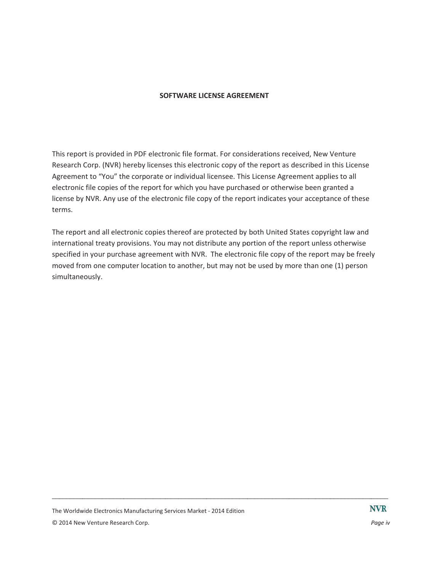# **SOFTWARE LICENSE AGREEMENT**

This report is provided in PDF electronic file format. For considerations received, New Venture Research Corp. (NVR) hereby licenses this electronic copy of the report as described in this License Agreement to "You" the corporate or individual licensee. This License Agreement applies to all electronic file copies of the report for which you have purchased or otherwise been granted a license by NVR. Any use of the electronic file copy of the report indicates your acceptance of these terms.

The report and all electronic copies thereof are protected by both United States copyright law and international treaty provisions. You may not distribute any portion of the report unless otherwise specified in your purchase agreement with NVR. The electronic file copy of the report may be freely moved from one computer location to another, but may not be used by more than one (1) person simultaneously.

Page iv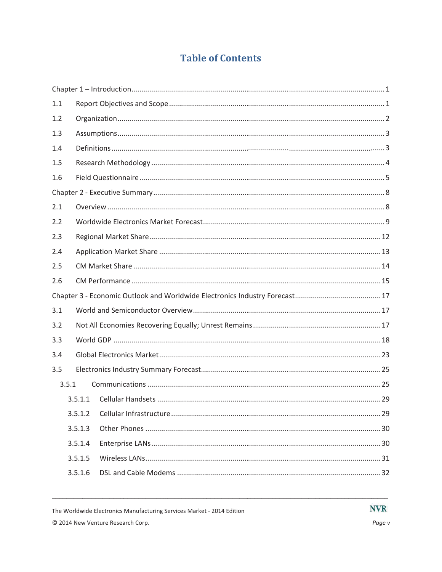# **Table of Contents**

| 1.1 |         |  |
|-----|---------|--|
| 1.2 |         |  |
| 1.3 |         |  |
| 1.4 |         |  |
| 1.5 |         |  |
| 1.6 |         |  |
|     |         |  |
| 2.1 |         |  |
| 2.2 |         |  |
| 2.3 |         |  |
| 2.4 |         |  |
| 2.5 |         |  |
| 2.6 |         |  |
|     |         |  |
| 3.1 |         |  |
| 3.2 |         |  |
| 3.3 |         |  |
| 3.4 |         |  |
| 3.5 |         |  |
|     | 3.5.1   |  |
|     | 3.5.1.1 |  |
|     | 3.5.1.2 |  |
|     | 3.5.1.3 |  |
|     | 3.5.1.4 |  |
|     | 3.5.1.5 |  |
|     | 3.5.1.6 |  |

The Worldwide Electronics Manufacturing Services Market - 2014 Edition © 2014 New Venture Research Corp.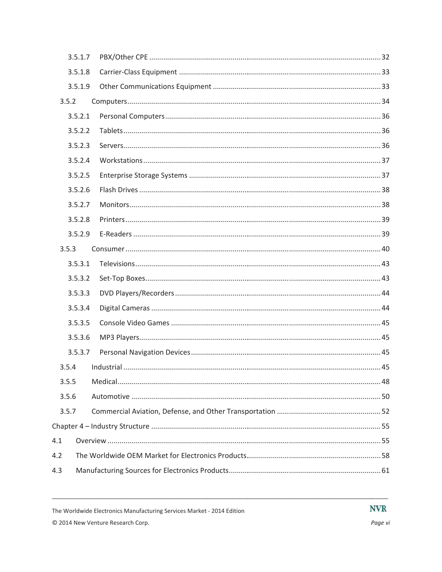|       | 3.5.1.7 |  |
|-------|---------|--|
|       | 3.5.1.8 |  |
|       | 3.5.1.9 |  |
| 3.5.2 |         |  |
|       | 3.5.2.1 |  |
|       | 3.5.2.2 |  |
|       | 3.5.2.3 |  |
|       | 3.5.2.4 |  |
|       | 3.5.2.5 |  |
|       | 3.5.2.6 |  |
|       | 3.5.2.7 |  |
|       | 3.5.2.8 |  |
|       | 3.5.2.9 |  |
| 3.5.3 |         |  |
|       | 3.5.3.1 |  |
|       | 3.5.3.2 |  |
|       | 3.5.3.3 |  |
|       | 3.5.3.4 |  |
|       | 3.5.3.5 |  |
|       | 3.5.3.6 |  |
|       | 3.5.3.7 |  |
| 3.5.4 |         |  |
| 3.5.5 |         |  |
| 3.5.6 |         |  |
| 3.5.7 |         |  |
|       |         |  |
| 4.1   |         |  |
| 4.2   |         |  |
| 4.3   |         |  |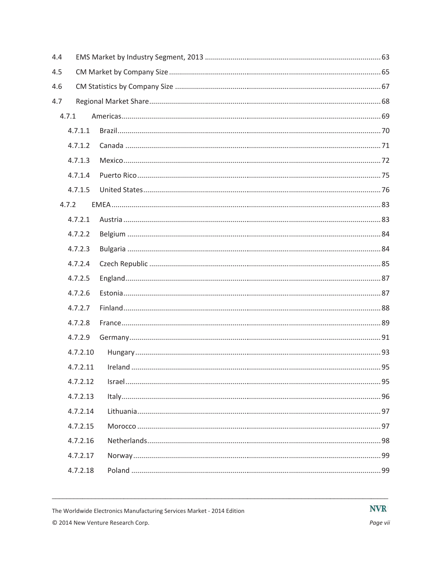| 4.4 |          |  |  |  |
|-----|----------|--|--|--|
| 4.5 |          |  |  |  |
| 4.6 |          |  |  |  |
| 4.7 |          |  |  |  |
|     | 4.7.1    |  |  |  |
|     | 4.7.1.1  |  |  |  |
|     | 4.7.1.2  |  |  |  |
|     | 4.7.1.3  |  |  |  |
|     | 4.7.1.4  |  |  |  |
|     | 4.7.1.5  |  |  |  |
|     | 4.7.2    |  |  |  |
|     | 4.7.2.1  |  |  |  |
|     | 4.7.2.2  |  |  |  |
|     | 4.7.2.3  |  |  |  |
|     | 4.7.2.4  |  |  |  |
|     | 4.7.2.5  |  |  |  |
|     | 4.7.2.6  |  |  |  |
|     | 4.7.2.7  |  |  |  |
|     | 4.7.2.8  |  |  |  |
|     | 4.7.2.9  |  |  |  |
|     | 4.7.2.10 |  |  |  |
|     | 4.7.2.11 |  |  |  |
|     | 4.7.2.12 |  |  |  |
|     | 4.7.2.13 |  |  |  |
|     | 4.7.2.14 |  |  |  |
|     | 4.7.2.15 |  |  |  |
|     | 4.7.2.16 |  |  |  |
|     | 4.7.2.17 |  |  |  |
|     | 4.7.2.18 |  |  |  |
|     |          |  |  |  |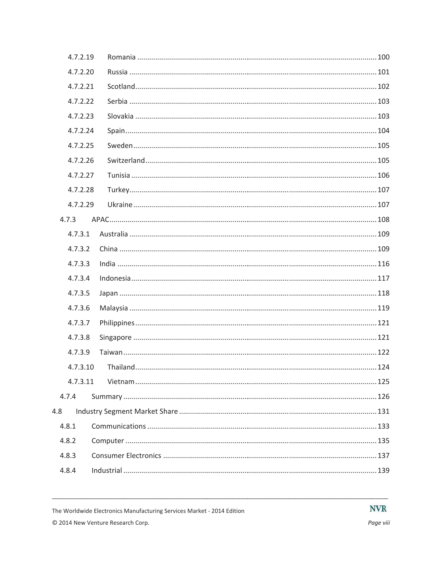| 4.7.2.19 |  |
|----------|--|
| 4.7.2.20 |  |
| 4.7.2.21 |  |
| 4.7.2.22 |  |
| 4.7.2.23 |  |
| 4.7.2.24 |  |
| 4.7.2.25 |  |
| 4.7.2.26 |  |
| 4.7.2.27 |  |
| 4.7.2.28 |  |
| 4.7.2.29 |  |
| 4.7.3    |  |
| 4.7.3.1  |  |
| 4.7.3.2  |  |
| 4.7.3.3  |  |
| 4.7.3.4  |  |
| 4.7.3.5  |  |
| 4.7.3.6  |  |
| 4.7.3.7  |  |
| 4.7.3.8  |  |
| 4.7.3.9  |  |
| 4.7.3.10 |  |
| 4.7.3.11 |  |
| 4.7.4    |  |
| 4.8      |  |
| 4.8.1    |  |
| 4.8.2    |  |
| 4.8.3    |  |
| 4.8.4    |  |
|          |  |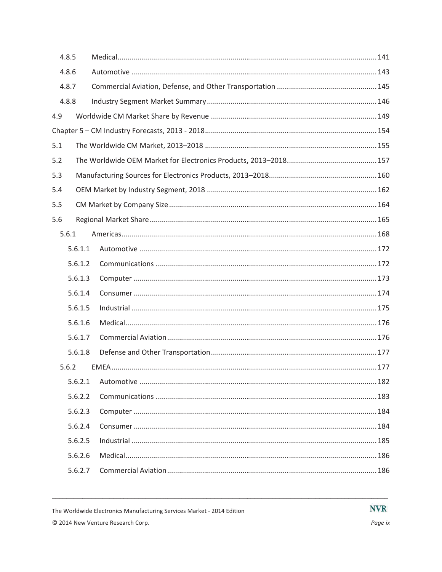| 4.8.5 |         |  |
|-------|---------|--|
| 4.8.6 |         |  |
| 4.8.7 |         |  |
| 4.8.8 |         |  |
| 4.9   |         |  |
|       |         |  |
| 5.1   |         |  |
| 5.2   |         |  |
| 5.3   |         |  |
| 5.4   |         |  |
| 5.5   |         |  |
| 5.6   |         |  |
| 5.6.1 |         |  |
|       | 5.6.1.1 |  |
|       | 5.6.1.2 |  |
|       | 5.6.1.3 |  |
|       | 5.6.1.4 |  |
|       | 5.6.1.5 |  |
|       | 5.6.1.6 |  |
|       | 5.6.1.7 |  |
|       | 5.6.1.8 |  |
| 5.6.2 |         |  |
|       | 5.6.2.1 |  |
|       | 5.6.2.2 |  |
|       | 5.6.2.3 |  |
|       | 5.6.2.4 |  |
|       | 5.6.2.5 |  |
|       | 5.6.2.6 |  |
|       | 5.6.2.7 |  |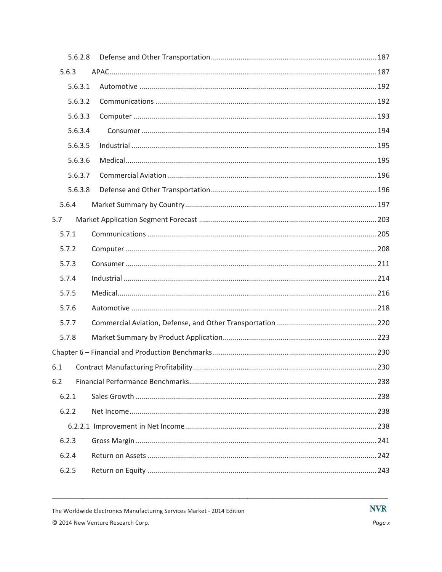| 5.6.2.8 |  |  |  |
|---------|--|--|--|
| 5.6.3   |  |  |  |
| 5.6.3.1 |  |  |  |
| 5.6.3.2 |  |  |  |
| 5.6.3.3 |  |  |  |
| 5.6.3.4 |  |  |  |
| 5.6.3.5 |  |  |  |
| 5.6.3.6 |  |  |  |
| 5.6.3.7 |  |  |  |
| 5.6.3.8 |  |  |  |
| 5.6.4   |  |  |  |
| 5.7     |  |  |  |
| 5.7.1   |  |  |  |
| 5.7.2   |  |  |  |
| 5.7.3   |  |  |  |
| 5.7.4   |  |  |  |
| 5.7.5   |  |  |  |
| 5.7.6   |  |  |  |
| 5.7.7   |  |  |  |
| 5.7.8   |  |  |  |
|         |  |  |  |
| 6.1     |  |  |  |
| 6.2     |  |  |  |
| 6.2.1   |  |  |  |
| 6.2.2   |  |  |  |
|         |  |  |  |
| 6.2.3   |  |  |  |
| 6.2.4   |  |  |  |
| 6.2.5   |  |  |  |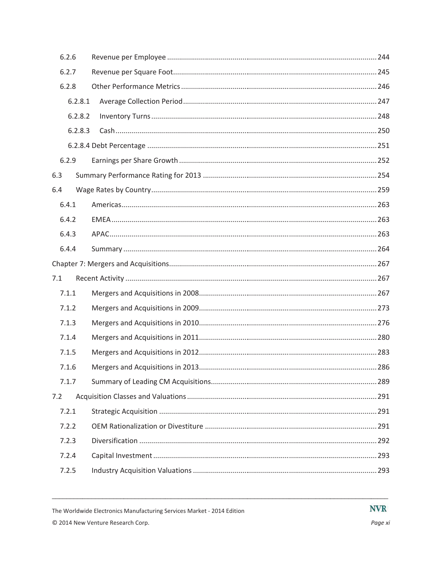| 6.2.6   |  |  |  |  |
|---------|--|--|--|--|
| 6.2.7   |  |  |  |  |
| 6.2.8   |  |  |  |  |
| 6.2.8.1 |  |  |  |  |
| 6.2.8.2 |  |  |  |  |
| 6.2.8.3 |  |  |  |  |
|         |  |  |  |  |
| 6.2.9   |  |  |  |  |
| 6.3     |  |  |  |  |
| 6.4     |  |  |  |  |
| 6.4.1   |  |  |  |  |
| 6.4.2   |  |  |  |  |
| 6.4.3   |  |  |  |  |
| 6.4.4   |  |  |  |  |
|         |  |  |  |  |
| 7.1     |  |  |  |  |
| 7.1.1   |  |  |  |  |
| 7.1.2   |  |  |  |  |
| 7.1.3   |  |  |  |  |
| 7.1.4   |  |  |  |  |
| 7.1.5   |  |  |  |  |
| 7.1.6   |  |  |  |  |
| 7.1.7   |  |  |  |  |
| 7.2     |  |  |  |  |
| 7.2.1   |  |  |  |  |
| 7.2.2   |  |  |  |  |
| 7.2.3   |  |  |  |  |
| 7.2.4   |  |  |  |  |
| 7.2.5   |  |  |  |  |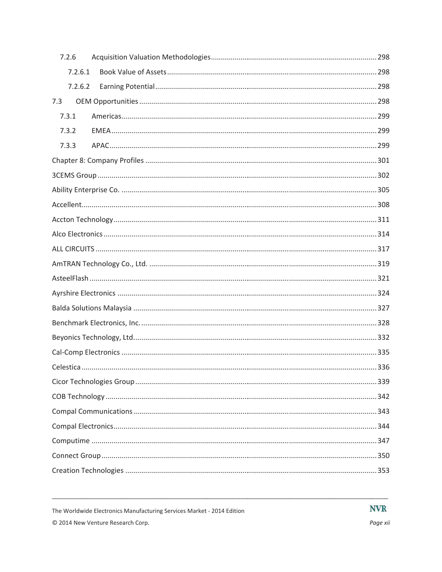| 7.2.6   |  |  |  |  |
|---------|--|--|--|--|
| 7.2.6.1 |  |  |  |  |
| 7.2.6.2 |  |  |  |  |
| 7.3     |  |  |  |  |
| 7.3.1   |  |  |  |  |
| 7.3.2   |  |  |  |  |
| 7.3.3   |  |  |  |  |
|         |  |  |  |  |
|         |  |  |  |  |
|         |  |  |  |  |
|         |  |  |  |  |
|         |  |  |  |  |
|         |  |  |  |  |
|         |  |  |  |  |
|         |  |  |  |  |
|         |  |  |  |  |
|         |  |  |  |  |
|         |  |  |  |  |
|         |  |  |  |  |
|         |  |  |  |  |
|         |  |  |  |  |
|         |  |  |  |  |
|         |  |  |  |  |
|         |  |  |  |  |
|         |  |  |  |  |
|         |  |  |  |  |
|         |  |  |  |  |
|         |  |  |  |  |
|         |  |  |  |  |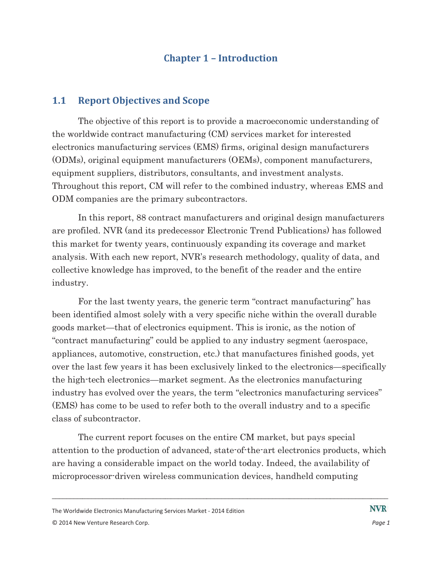# **Chapter 1 - Introduction**

#### $1.1$ **Report Objectives and Scope**

The objective of this report is to provide a macroeconomic understanding of the worldwide contract manufacturing (CM) services market for interested electronics manufacturing services (EMS) firms, original design manufacturers (ODMs), original equipment manufacturers (OEMs), component manufacturers, equipment suppliers, distributors, consultants, and investment analysts. Throughout this report, CM will refer to the combined industry, whereas EMS and ODM companies are the primary subcontractors.

In this report, 88 contract manufacturers and original design manufacturers are profiled. NVR (and its predecessor Electronic Trend Publications) has followed this market for twenty years, continuously expanding its coverage and market analysis. With each new report, NVR's research methodology, quality of data, and collective knowledge has improved, to the benefit of the reader and the entire industry.

For the last twenty years, the generic term "contract manufacturing" has been identified almost solely with a very specific niche within the overall durable goods market—that of electronics equipment. This is ironic, as the notion of "contract manufacturing" could be applied to any industry segment (aerospace, appliances, automotive, construction, etc.) that manufactures finished goods, yet over the last few years it has been exclusively linked to the electronics—specifically the high-tech electronics—market segment. As the electronics manufacturing industry has evolved over the years, the term "electronics manufacturing services" (EMS) has come to be used to refer both to the overall industry and to a specific class of subcontractor.

The current report focuses on the entire CM market, but pays special attention to the production of advanced, state-of-the-art electronics products, which are having a considerable impact on the world today. Indeed, the availability of microprocessor-driven wireless communication devices, handheld computing

The Worldwide Electronics Manufacturing Services Market - 2014 Edition © 2014 New Venture Research Corp.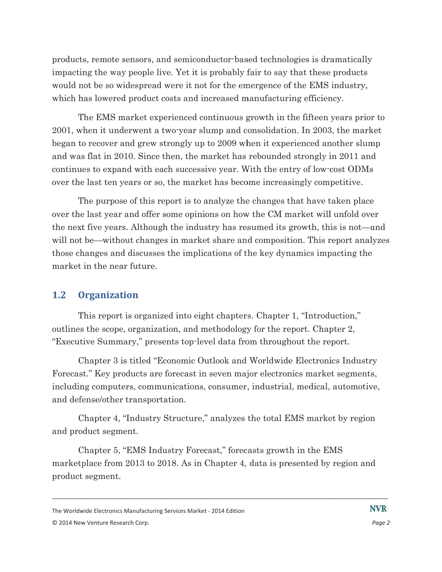products, remote sensors, and semiconductor-based technologies is dramatically impacting the way people live. Yet it is probably fair to say that these products would not be so widespread were it not for the emergence of the EMS industry. which has lowered product costs and increased manufacturing efficiency.

The EMS market experienced continuous growth in the fifteen years prior to 2001, when it underwent a two-year slump and consolidation. In 2003, the market began to recover and grew strongly up to 2009 when it experienced another slump and was flat in 2010. Since then, the market has rebounded strongly in 2011 and continues to expand with each successive year. With the entry of low-cost ODMs over the last ten years or so, the market has become increasingly competitive.

The purpose of this report is to analyze the changes that have taken place over the last year and offer some opinions on how the CM market will unfold over the next five years. Although the industry has resumed its growth, this is not—and will not be—without changes in market share and composition. This report analyzes those changes and discusses the implications of the key dynamics impacting the market in the near future.

#### $1.2$ **Organization**

This report is organized into eight chapters. Chapter 1, "Introduction," outlines the scope, organization, and methodology for the report. Chapter 2, "Executive Summary," presents top-level data from throughout the report.

Chapter 3 is titled "Economic Outlook and Worldwide Electronics Industry Forecast." Key products are forecast in seven major electronics market segments, including computers, communications, consumer, industrial, medical, automotive, and defense/other transportation.

Chapter 4, "Industry Structure," analyzes the total EMS market by region and product segment.

Chapter 5, "EMS Industry Forecast," forecasts growth in the EMS marketplace from 2013 to 2018. As in Chapter 4, data is presented by region and product segment.

The Worldwide Electronics Manufacturing Services Market - 2014 Edition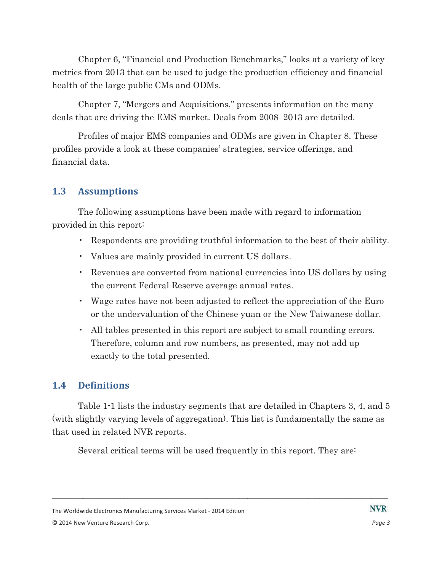Chapter 6, "Financial and Production Benchmarks," looks at a variety of key metrics from 2013 that can be used to judge the production efficiency and financial health of the large public CMs and ODMs.

Chapter 7, "Mergers and Acquisitions," presents information on the many deals that are driving the EMS market. Deals from 2008–2013 are detailed.

Profiles of major EMS companies and ODMs are given in Chapter 8. These profiles provide a look at these companies' strategies, service offerings, and financial data.

#### $1.3$ **Assumptions**

The following assumptions have been made with regard to information provided in this report:

- Respondents are providing truthful information to the best of their ability.
- Values are mainly provided in current US dollars.
- Revenues are converted from national currencies into US dollars by using the current Federal Reserve average annual rates.
- Wage rates have not been adjusted to reflect the appreciation of the Euro or the undervaluation of the Chinese yuan or the New Taiwanese dollar.
- All tables presented in this report are subject to small rounding errors. Therefore, column and row numbers, as presented, may not add up exactly to the total presented.

#### 1.4 **Definitions**

Table 1-1 lists the industry segments that are detailed in Chapters 3, 4, and 5 (with slightly varying levels of aggregation). This list is fundamentally the same as that used in related NVR reports.

Several critical terms will be used frequently in this report. They are.

The Worldwide Electronics Manufacturing Services Market - 2014 Edition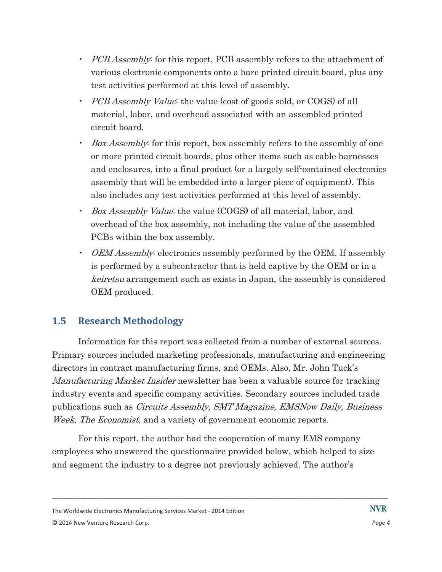- PCB Assembly: for this report, PCB assembly refers to the attachment of various electronic components onto a bare printed circuit board, plus any test activities performed at this level of assembly.
- *PCB Assembly Value*: the value (cost of goods sold, or COGS) of all material, labor, and overhead associated with an assembled printed circuit board.
- *Box Assembly:* for this report, box assembly refers to the assembly of one or more printed circuit boards, plus other items such as cable harnesses and enclosures, into a final product (or a largely self-contained electronics assembly that will be embedded into a larger piece of equipment). This also includes any test activities performed at this level of assembly.
- *Box Assembly Value*: the value (COGS) of all material, labor, and overhead of the box assembly, not including the value of the assembled PCBs within the box assembly.
- OEM Assembly electronics assembly performed by the OEM. If assembly is performed by a subcontractor that is held captive by the OEM or in a keiretsu arrangement such as exists in Japan, the assembly is considered OEM produced.

#### $1.5$ **Research Methodology**

Information for this report was collected from a number of external sources. Primary sources included marketing professionals, manufacturing and engineering directors in contract manufacturing firms, and OEMs. Also, Mr. John Tuck's *Manufacturing Market Insider* newsletter has been a valuable source for tracking industry events and specific company activities. Secondary sources included trade publications such as *Circuits Assembly, SMT Magazine, EMSNow Daily, Business* Week, The Economist, and a variety of government economic reports.

For this report, the author had the cooperation of many EMS company employees who answered the questionnaire provided below, which helped to size and segment the industry to a degree not previously achieved. The author's

The Worldwide Electronics Manufacturing Services Market - 2014 Edition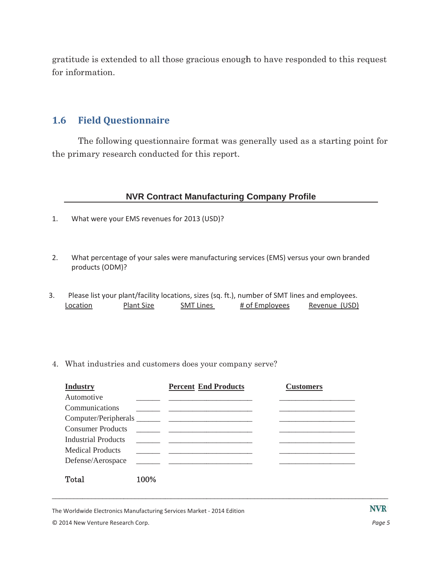gratitude is extended to all those gracious enough to have responded to this request for information.

#### **Field Questionnaire**  $1.6$

The following questionnaire format was generally used as a starting point for the primary research conducted for this report.

# **NVR Contract Manufacturing Company Profile**

- What were your EMS revenues for 2013 (USD)?  $1.$
- $2.$ What percentage of your sales were manufacturing services (EMS) versus your own branded products (ODM)?
- $3.$ Please list your plant/facility locations, sizes (sq. ft.), number of SMT lines and employees. Location Plant Size **SMT Lines** # of Employees Revenue (USD)
- 4. What industries and customers does your company serve?

| <b>Industry</b>          |      | <b>Percent End Products</b> | <b>Customers</b> |
|--------------------------|------|-----------------------------|------------------|
| Automotive               |      |                             |                  |
| Communications           |      |                             |                  |
|                          |      |                             |                  |
| <b>Consumer Products</b> |      |                             |                  |
| Industrial Products      |      |                             |                  |
| <b>Medical Products</b>  |      |                             |                  |
| Defense/Aerospace        |      |                             |                  |
| Total                    | 100% |                             |                  |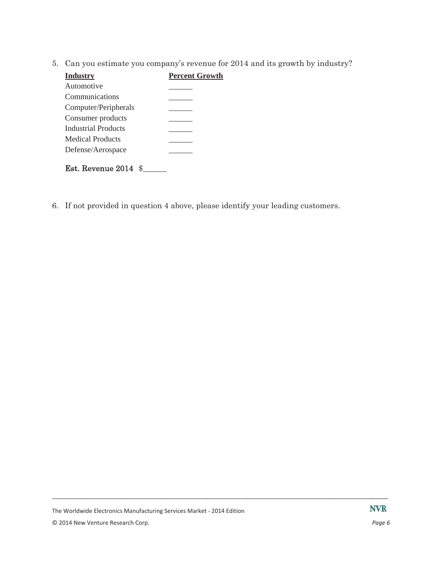5. Can you estimate you company's revenue for 2014 and its growth by industry?

| <b>Industry</b>      | <b>Percent Growth</b> |
|----------------------|-----------------------|
| Automotive           |                       |
| Communications       |                       |
| Computer/Peripherals |                       |
| Consumer products    |                       |
| Industrial Products  |                       |
| Medical Products     |                       |
| Defense/Aerospace    |                       |
| Est. Revenue 2014    |                       |

6. If not provided in question 4 above, please identify your leading customers.